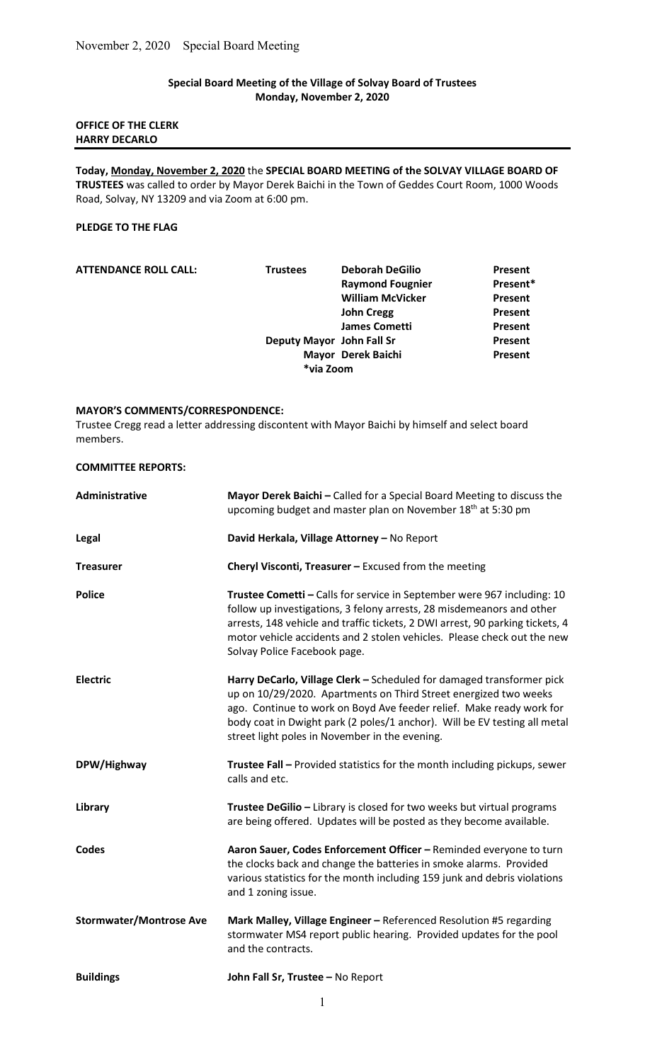# Special Board Meeting of the Village of Solvay Board of Trustees Monday, November 2, 2020

# OFFICE OF THE CLERK HARRY DECARLO

Today, Monday, November 2, 2020 the SPECIAL BOARD MEETING of the SOLVAY VILLAGE BOARD OF TRUSTEES was called to order by Mayor Derek Baichi in the Town of Geddes Court Room, 1000 Woods Road, Solvay, NY 13209 and via Zoom at 6:00 pm.

### PLEDGE TO THE FLAG

COMMITTEE REPORTS:

| <b>ATTENDANCE ROLL CALL:</b> | <b>Trustees</b> | <b>Deborah DeGilio</b>    | <b>Present</b> |
|------------------------------|-----------------|---------------------------|----------------|
|                              |                 | <b>Raymond Fougnier</b>   | Present*       |
|                              |                 | <b>William McVicker</b>   | <b>Present</b> |
|                              |                 | <b>John Cregg</b>         | <b>Present</b> |
|                              |                 | <b>James Cometti</b>      | <b>Present</b> |
|                              |                 | Deputy Mayor John Fall Sr | Present        |
|                              |                 | Mayor Derek Baichi        | <b>Present</b> |
|                              |                 | *via Zoom                 |                |

#### MAYOR'S COMMENTS/CORRESPONDENCE:

Trustee Cregg read a letter addressing discontent with Mayor Baichi by himself and select board members.

| Administrative                 | Mayor Derek Baichi - Called for a Special Board Meeting to discuss the<br>upcoming budget and master plan on November 18 <sup>th</sup> at 5:30 pm                                                                                                                                                                                                |
|--------------------------------|--------------------------------------------------------------------------------------------------------------------------------------------------------------------------------------------------------------------------------------------------------------------------------------------------------------------------------------------------|
| <b>Legal</b>                   | David Herkala, Village Attorney - No Report                                                                                                                                                                                                                                                                                                      |
| <b>Treasurer</b>               | Cheryl Visconti, Treasurer - Excused from the meeting                                                                                                                                                                                                                                                                                            |
| <b>Police</b>                  | Trustee Cometti - Calls for service in September were 967 including: 10<br>follow up investigations, 3 felony arrests, 28 misdemeanors and other<br>arrests, 148 vehicle and traffic tickets, 2 DWI arrest, 90 parking tickets, 4<br>motor vehicle accidents and 2 stolen vehicles. Please check out the new<br>Solvay Police Facebook page.     |
| Electric                       | Harry DeCarlo, Village Clerk - Scheduled for damaged transformer pick<br>up on 10/29/2020. Apartments on Third Street energized two weeks<br>ago. Continue to work on Boyd Ave feeder relief. Make ready work for<br>body coat in Dwight park (2 poles/1 anchor). Will be EV testing all metal<br>street light poles in November in the evening. |
| DPW/Highway                    | Trustee Fall - Provided statistics for the month including pickups, sewer<br>calls and etc.                                                                                                                                                                                                                                                      |
| Library                        | Trustee DeGilio - Library is closed for two weeks but virtual programs<br>are being offered. Updates will be posted as they become available.                                                                                                                                                                                                    |
| <b>Codes</b>                   | Aaron Sauer, Codes Enforcement Officer - Reminded everyone to turn<br>the clocks back and change the batteries in smoke alarms. Provided<br>various statistics for the month including 159 junk and debris violations<br>and 1 zoning issue.                                                                                                     |
| <b>Stormwater/Montrose Ave</b> | Mark Malley, Village Engineer - Referenced Resolution #5 regarding<br>stormwater MS4 report public hearing. Provided updates for the pool<br>and the contracts.                                                                                                                                                                                  |
| <b>Buildings</b>               | John Fall Sr, Trustee - No Report                                                                                                                                                                                                                                                                                                                |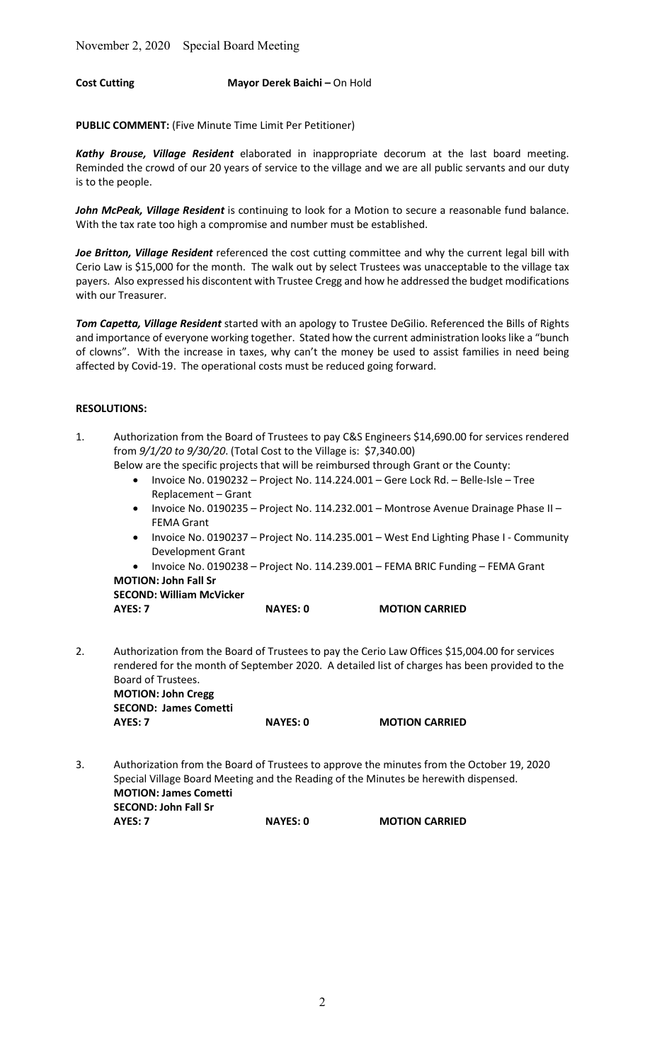# Cost Cutting Mayor Derek Baichi – On Hold

PUBLIC COMMENT: (Five Minute Time Limit Per Petitioner)

Kathy Brouse, Village Resident elaborated in inappropriate decorum at the last board meeting. Reminded the crowd of our 20 years of service to the village and we are all public servants and our duty is to the people.

John McPeak, Village Resident is continuing to look for a Motion to secure a reasonable fund balance. With the tax rate too high a compromise and number must be established.

Joe Britton, Village Resident referenced the cost cutting committee and why the current legal bill with Cerio Law is \$15,000 for the month. The walk out by select Trustees was unacceptable to the village tax payers. Also expressed his discontent with Trustee Cregg and how he addressed the budget modifications with our Treasurer.

Tom Capetta, Village Resident started with an apology to Trustee DeGilio. Referenced the Bills of Rights and importance of everyone working together. Stated how the current administration looks like a "bunch of clowns". With the increase in taxes, why can't the money be used to assist families in need being affected by Covid-19. The operational costs must be reduced going forward.

## RESOLUTIONS:

1. Authorization from the Board of Trustees to pay C&S Engineers \$14,690.00 for services rendered from 9/1/20 to 9/30/20. (Total Cost to the Village is: \$7,340.00)

Below are the specific projects that will be reimbursed through Grant or the County:

- Invoice No. 0190232 Project No. 114.224.001 Gere Lock Rd. Belle-Isle Tree Replacement – Grant
- Invoice No. 0190235 Project No. 114.232.001 Montrose Avenue Drainage Phase II FEMA Grant
- Invoice No. 0190237 Project No. 114.235.001 West End Lighting Phase I Community Development Grant
- Invoice No. 0190238 Project No. 114.239.001 FEMA BRIC Funding FEMA Grant MOTION: John Fall Sr

SECOND: William McVicker

AYES: 7 NAYES: 0 MOTION CARRIED

2. Authorization from the Board of Trustees to pay the Cerio Law Offices \$15,004.00 for services rendered for the month of September 2020. A detailed list of charges has been provided to the Board of Trustees. MOTION: John Cregg SECOND: James Cometti

AYES: 7 NAYES: 0 MOTION CARRIED

3. Authorization from the Board of Trustees to approve the minutes from the October 19, 2020 Special Village Board Meeting and the Reading of the Minutes be herewith dispensed. MOTION: James Cometti SECOND: John Fall Sr AYES: 7 NAYES: 0 MOTION CARRIED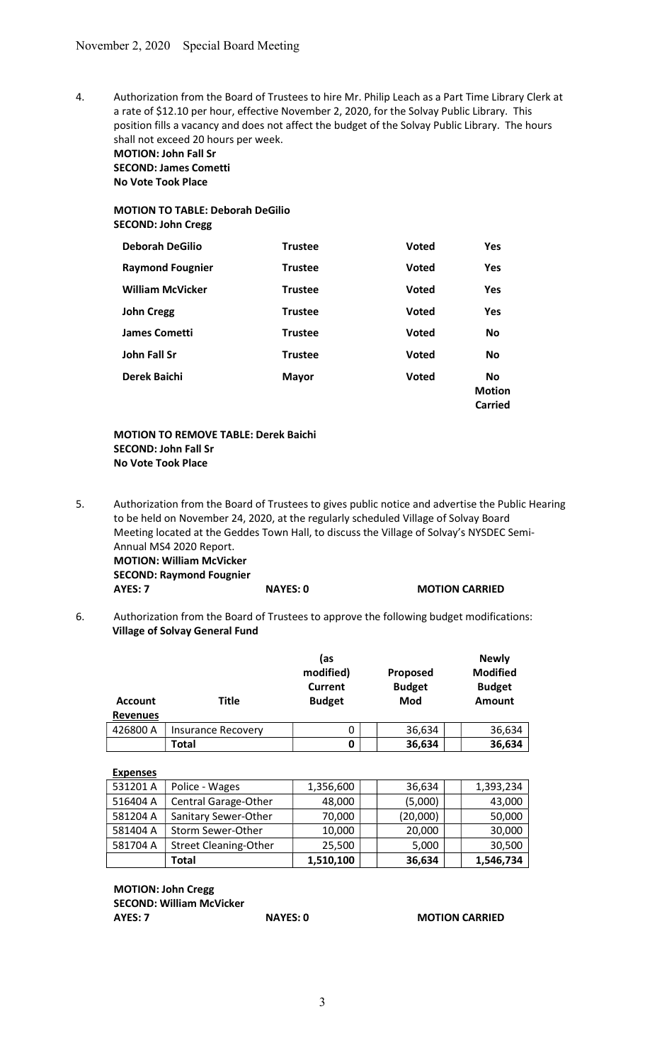4. Authorization from the Board of Trustees to hire Mr. Philip Leach as a Part Time Library Clerk at a rate of \$12.10 per hour, effective November 2, 2020, for the Solvay Public Library. This position fills a vacancy and does not affect the budget of the Solvay Public Library. The hours shall not exceed 20 hours per week.

MOTION: John Fall Sr SECOND: James Cometti No Vote Took Place

# MOTION TO TABLE: Deborah DeGilio SECOND: John Cregg

| <b>Deborah DeGilio</b>  | <b>Trustee</b> | <b>Voted</b> | <b>Yes</b>                                   |
|-------------------------|----------------|--------------|----------------------------------------------|
| <b>Raymond Fougnier</b> | <b>Trustee</b> | <b>Voted</b> | <b>Yes</b>                                   |
| <b>William McVicker</b> | <b>Trustee</b> | <b>Voted</b> | Yes                                          |
| <b>John Cregg</b>       | <b>Trustee</b> | <b>Voted</b> | <b>Yes</b>                                   |
| <b>James Cometti</b>    | <b>Trustee</b> | <b>Voted</b> | <b>No</b>                                    |
| John Fall Sr            | <b>Trustee</b> | <b>Voted</b> | <b>No</b>                                    |
| Derek Baichi            | <b>Mayor</b>   | <b>Voted</b> | <b>No</b><br><b>Motion</b><br><b>Carried</b> |

### MOTION TO REMOVE TABLE: Derek Baichi SECOND: John Fall Sr No Vote Took Place

5. Authorization from the Board of Trustees to gives public notice and advertise the Public Hearing to be held on November 24, 2020, at the regularly scheduled Village of Solvay Board Meeting located at the Geddes Town Hall, to discuss the Village of Solvay's NYSDEC Semi- Annual MS4 2020 Report. MOTION: William McVicker SECOND: Raymond Fougnier

AYES: 7 NAYES: 0 MOTION CARRIED

6. Authorization from the Board of Trustees to approve the following budget modifications: Village of Solvay General Fund

| <b>Account</b><br><b>Revenues</b> | Title                     | (as<br>modified)<br>Current<br><b>Budget</b> | Proposed<br><b>Budget</b><br>Mod | <b>Newly</b><br><b>Modified</b><br><b>Budget</b><br><b>Amount</b> |
|-----------------------------------|---------------------------|----------------------------------------------|----------------------------------|-------------------------------------------------------------------|
| 426800 A                          | <b>Insurance Recovery</b> | 0                                            | 36,634                           | 36,634                                                            |
|                                   | Total                     | 0                                            | 36,634                           | 36,634                                                            |

| <b>Expenses</b> |                              |           |          |           |
|-----------------|------------------------------|-----------|----------|-----------|
| 531201 A        | Police - Wages               | 1,356,600 | 36,634   | 1,393,234 |
| 516404 A        | <b>Central Garage-Other</b>  | 48,000    | (5,000)  | 43,000    |
| 581204 A        | Sanitary Sewer-Other         | 70,000    | (20,000) | 50,000    |
| 581404 A        | Storm Sewer-Other            | 10,000    | 20,000   | 30,000    |
| 581704 A        | <b>Street Cleaning-Other</b> | 25,500    | 5,000    | 30,500    |
|                 | Total                        | 1,510,100 | 36,634   | 1,546,734 |

MOTION: John Cregg SECOND: William McVicker

AYES: 7 NAYES: 0 MOTION CARRIED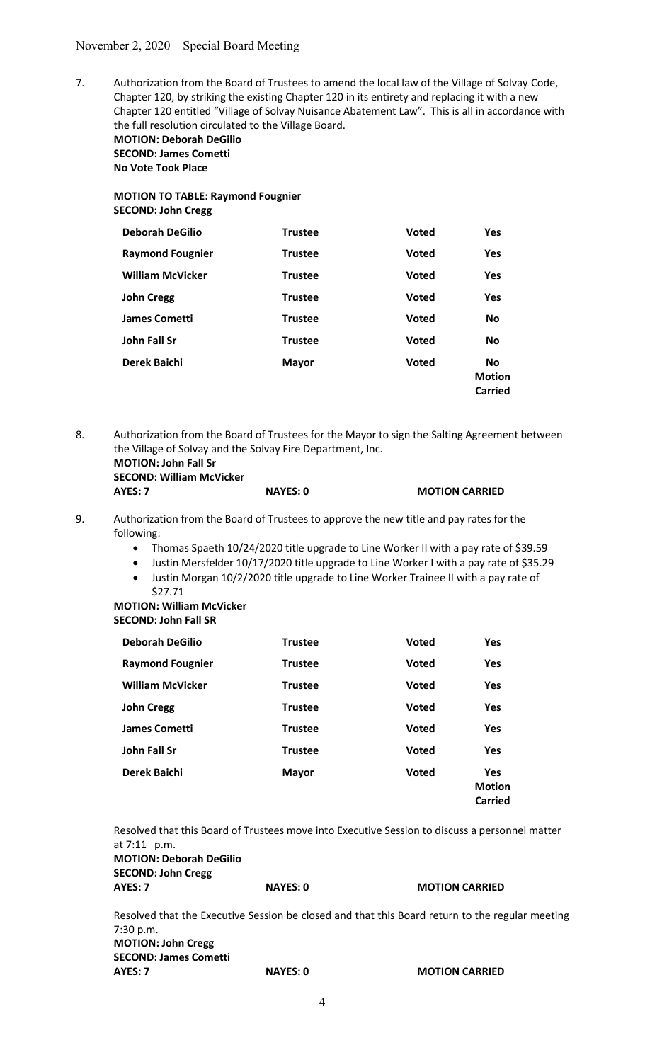7. Authorization from the Board of Trustees to amend the local law of the Village of Solvay Code, Chapter 120, by striking the existing Chapter 120 in its entirety and replacing it with a new Chapter 120 entitled "Village of Solvay Nuisance Abatement Law". This is all in accordance with the full resolution circulated to the Village Board. MOTION: Deborah DeGilio SECOND: James Cometti No Vote Took Place

# MOTION TO TABLE: Raymond Fougnier SECOND: John Cregg

| <b>Deborah DeGilio</b>  | <b>Trustee</b> | <b>Voted</b> | <b>Yes</b>                            |
|-------------------------|----------------|--------------|---------------------------------------|
| <b>Raymond Fougnier</b> | <b>Trustee</b> | <b>Voted</b> | <b>Yes</b>                            |
| <b>William McVicker</b> | <b>Trustee</b> | <b>Voted</b> | <b>Yes</b>                            |
| <b>John Cregg</b>       | <b>Trustee</b> | <b>Voted</b> | <b>Yes</b>                            |
| <b>James Cometti</b>    | <b>Trustee</b> | <b>Voted</b> | <b>No</b>                             |
| John Fall Sr            | <b>Trustee</b> | <b>Voted</b> | <b>No</b>                             |
| Derek Baichi            | <b>Mayor</b>   | <b>Voted</b> | <b>No</b><br><b>Motion</b><br>Carried |

8. Authorization from the Board of Trustees for the Mayor to sign the Salting Agreement between the Village of Solvay and the Solvay Fire Department, Inc.

| <b>MOTION: John Fall Sr</b>     |  |
|---------------------------------|--|
| <b>SECOND: William McVicker</b> |  |
| AYES: 7                         |  |

| AYES: 7 | <b>NAYES: 0</b> | <b>MOTION CARRIED</b> |
|---------|-----------------|-----------------------|

- 9. Authorization from the Board of Trustees to approve the new title and pay rates for the following:
	- Thomas Spaeth 10/24/2020 title upgrade to Line Worker II with a pay rate of \$39.59
	- Justin Mersfelder 10/17/2020 title upgrade to Line Worker I with a pay rate of \$35.29
	- Justin Morgan 10/2/2020 title upgrade to Line Worker Trainee II with a pay rate of \$27.71

MOTION: William McVicker SECOND: John Fall SR

| <b>Deborah DeGilio</b>  | <b>Trustee</b> | <b>Voted</b> | <b>Yes</b>                                    |
|-------------------------|----------------|--------------|-----------------------------------------------|
| <b>Raymond Fougnier</b> | <b>Trustee</b> | <b>Voted</b> | Yes                                           |
| <b>William McVicker</b> | <b>Trustee</b> | <b>Voted</b> | <b>Yes</b>                                    |
| <b>John Cregg</b>       | <b>Trustee</b> | <b>Voted</b> | Yes                                           |
| <b>James Cometti</b>    | <b>Trustee</b> | <b>Voted</b> | Yes                                           |
| <b>John Fall Sr</b>     | <b>Trustee</b> | <b>Voted</b> | Yes                                           |
| Derek Baichi            | <b>Mayor</b>   | <b>Voted</b> | <b>Yes</b><br><b>Motion</b><br><b>Carried</b> |

Resolved that this Board of Trustees move into Executive Session to discuss a personnel matter at 7:11 p.m. MOTION: Deborah DeGilio SECOND: John Cregg AYES: 7 NAYES: 0 MOTION CARRIED Resolved that the Executive Session be closed and that this Board return to the regular meeting

 7:30 p.m. MOTION: John Cregg SECOND: James Cometti AYES: 7 NAYES: 0 MOTION CARRIED